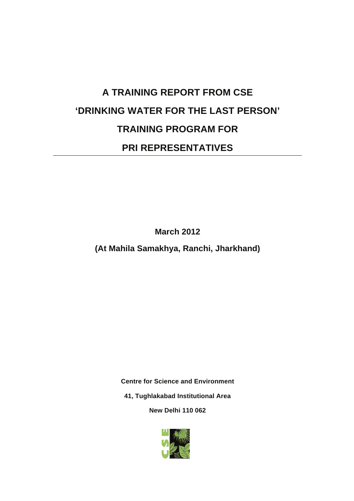# **A TRAINING REPORT FROM CSE 'DRINKING WATER FOR THE LAST PERSON' TRAINING PROGRAM FOR PRI REPRESENTATIVES**

**March 2012** 

**(At Mahila Samakhya, Ranchi, Jharkhand)** 

**Centre for Science and Environment** 

**41, Tughlakabad Institutional Area** 

**New Delhi 110 062** 

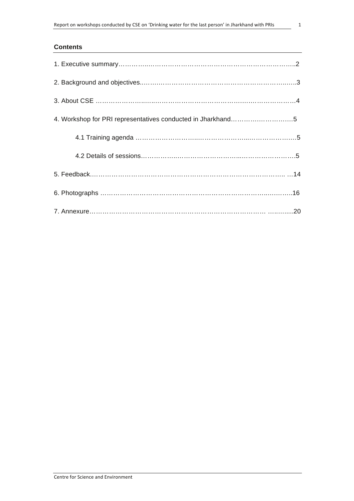#### **Contents**

| 4. Workshop for PRI representatives conducted in Jharkhand5 |
|-------------------------------------------------------------|
|                                                             |
|                                                             |
|                                                             |
|                                                             |
|                                                             |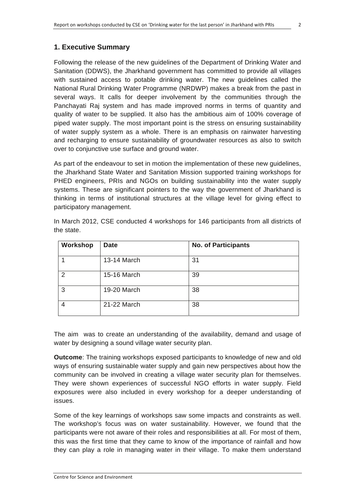# **1. Executive Summary**

Following the release of the new guidelines of the Department of Drinking Water and Sanitation (DDWS), the Jharkhand government has committed to provide all villages with sustained access to potable drinking water. The new guidelines called the National Rural Drinking Water Programme (NRDWP) makes a break from the past in several ways. It calls for deeper involvement by the communities through the Panchayati Raj system and has made improved norms in terms of quantity and quality of water to be supplied. It also has the ambitious aim of 100% coverage of piped water supply. The most important point is the stress on ensuring sustainability of water supply system as a whole. There is an emphasis on rainwater harvesting and recharging to ensure sustainability of groundwater resources as also to switch over to conjunctive use surface and ground water.

As part of the endeavour to set in motion the implementation of these new guidelines, the Jharkhand State Water and Sanitation Mission supported training workshops for PHED engineers, PRIs and NGOs on building sustainability into the water supply systems. These are significant pointers to the way the government of Jharkhand is thinking in terms of institutional structures at the village level for giving effect to participatory management.

| Workshop | <b>Date</b> | <b>No. of Participants</b> |
|----------|-------------|----------------------------|
|          | 13-14 March | 31                         |
| 2        | 15-16 March | 39                         |
| 3        | 19-20 March | 38                         |
| 4        | 21-22 March | 38                         |

In March 2012, CSE conducted 4 workshops for 146 participants from all districts of the state.

The aim was to create an understanding of the availability, demand and usage of water by designing a sound village water security plan.

**Outcome**: The training workshops exposed participants to knowledge of new and old ways of ensuring sustainable water supply and gain new perspectives about how the community can be involved in creating a village water security plan for themselves. They were shown experiences of successful NGO efforts in water supply. Field exposures were also included in every workshop for a deeper understanding of issues.

Some of the key learnings of workshops saw some impacts and constraints as well. The workshop's focus was on water sustainability. However, we found that the participants were not aware of their roles and responsibilities at all. For most of them, this was the first time that they came to know of the importance of rainfall and how they can play a role in managing water in their village. To make them understand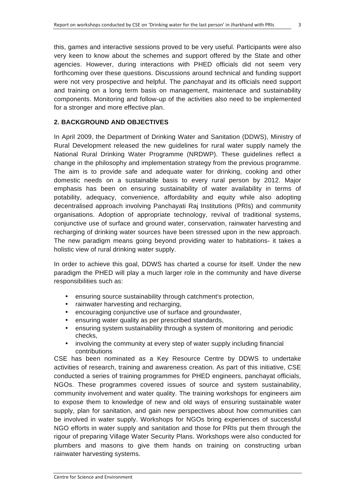this, games and interactive sessions proved to be very useful. Participants were also very keen to know about the schemes and support offered by the State and other agencies. However, during interactions with PHED officials did not seem very forthcoming over these questions. Discussions around technical and funding support were not very prospective and helpful. The *panchayat* and its officials need support and training on a long term basis on management, maintenace and sustainability components. Monitoring and follow-up of the activities also need to be implemented for a stronger and more effective plan.

# **2. BACKGROUND AND OBJECTIVES**

In April 2009, the Department of Drinking Water and Sanitation (DDWS), Ministry of Rural Development released the new guidelines for rural water supply namely the National Rural Drinking Water Programme (NRDWP). These guidelines reflect a change in the philosophy and implementation strategy from the previous programme. The aim is to provide safe and adequate water for drinking, cooking and other domestic needs on a sustainable basis to every rural person by 2012. Major emphasis has been on ensuring sustainability of water availability in terms of potability, adequacy, convenience, affordability and equity while also adopting decentralised approach involving Panchayati Raj Institutions (PRIs) and community organisations. Adoption of appropriate technology, revival of traditional systems, conjunctive use of surface and ground water, conservation, rainwater harvesting and recharging of drinking water sources have been stressed upon in the new approach. The new paradigm means going beyond providing water to habitations- it takes a holistic view of rural drinking water supply.

In order to achieve this goal, DDWS has charted a course for itself. Under the new paradigm the PHED will play a much larger role in the community and have diverse responsibilities such as:

- ensuring source sustainability through catchment's protection,
- rainwater harvesting and recharging,
- encouraging conjunctive use of surface and groundwater,
- ensuring water quality as per prescribed standards,
- ensuring system sustainability through a system of monitoring and periodic checks,
- involving the community at every step of water supply including financial contributions

CSE has been nominated as a Key Resource Centre by DDWS to undertake activities of research, training and awareness creation. As part of this initiative, CSE conducted a series of training programmes for PHED engineers, panchayat officials, NGOs. These programmes covered issues of source and system sustainability, community involvement and water quality. The training workshops for engineers aim to expose them to knowledge of new and old ways of ensuring sustainable water supply, plan for sanitation, and gain new perspectives about how communities can be involved in water supply. Workshops for NGOs bring experiences of successful NGO efforts in water supply and sanitation and those for PRIs put them through the rigour of preparing Village Water Security Plans. Workshops were also conducted for plumbers and masons to give them hands on training on constructing urban rainwater harvesting systems.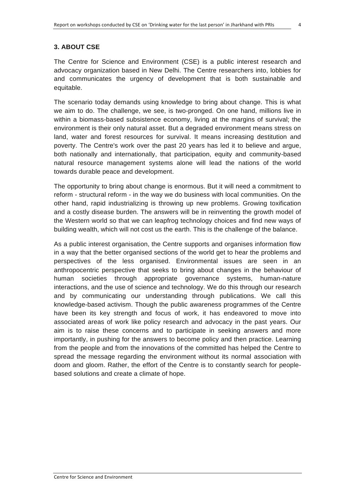#### **3. ABOUT CSE**

The Centre for Science and Environment (CSE) is a public interest research and advocacy organization based in New Delhi. The Centre researchers into, lobbies for and communicates the urgency of development that is both sustainable and equitable.

The scenario today demands using knowledge to bring about change. This is what we aim to do. The challenge, we see, is two-pronged. On one hand, millions live in within a biomass-based subsistence economy, living at the margins of survival; the environment is their only natural asset. But a degraded environment means stress on land, water and forest resources for survival. It means increasing destitution and poverty. The Centre's work over the past 20 years has led it to believe and argue, both nationally and internationally, that participation, equity and community-based natural resource management systems alone will lead the nations of the world towards durable peace and development.

The opportunity to bring about change is enormous. But it will need a commitment to reform - structural reform - in the way we do business with local communities. On the other hand, rapid industrializing is throwing up new problems. Growing toxification and a costly disease burden. The answers will be in reinventing the growth model of the Western world so that we can leapfrog technology choices and find new ways of building wealth, which will not cost us the earth. This is the challenge of the balance.

As a public interest organisation, the Centre supports and organises information flow in a way that the better organised sections of the world get to hear the problems and perspectives of the less organised. Environmental issues are seen in an anthropocentric perspective that seeks to bring about changes in the behaviour of human societies through appropriate governance systems, human-nature interactions, and the use of science and technology. We do this through our research and by communicating our understanding through publications. We call this knowledge-based activism. Though the public awareness programmes of the Centre have been its key strength and focus of work, it has endeavored to move into associated areas of work like policy research and advocacy in the past years. Our aim is to raise these concerns and to participate in seeking answers and more importantly, in pushing for the answers to become policy and then practice. Learning from the people and from the innovations of the committed has helped the Centre to spread the message regarding the environment without its normal association with doom and gloom. Rather, the effort of the Centre is to constantly search for peoplebased solutions and create a climate of hope.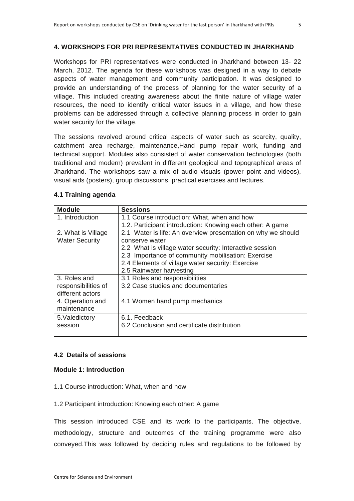#### **4. WORKSHOPS FOR PRI REPRESENTATIVES CONDUCTED IN JHARKHAND**

Workshops for PRI representatives were conducted in Jharkhand between 13- 22 March, 2012. The agenda for these workshops was designed in a way to debate aspects of water management and community participation. It was designed to provide an understanding of the process of planning for the water security of a village. This included creating awareness about the finite nature of village water resources, the need to identify critical water issues in a village, and how these problems can be addressed through a collective planning process in order to gain water security for the village.

The sessions revolved around critical aspects of water such as scarcity, quality, catchment area recharge, maintenance,Hand pump repair work, funding and technical support. Modules also consisted of water conservation technologies (both traditional and modern) prevalent in different geological and topographical areas of Jharkhand. The workshops saw a mix of audio visuals (power point and videos), visual aids (posters), group discussions, practical exercises and lectures.

| <b>Module</b>         | <b>Sessions</b>                                              |  |
|-----------------------|--------------------------------------------------------------|--|
| 1. Introduction       | 1.1 Course introduction: What, when and how                  |  |
|                       | 1.2. Participant introduction: Knowing each other: A game    |  |
| 2. What is Village    | 2.1 Water is life: An overview presentation on why we should |  |
| <b>Water Security</b> | conserve water                                               |  |
|                       | 2.2 What is village water security: Interactive session      |  |
|                       | 2.3 Importance of community mobilisation: Exercise           |  |
|                       | 2.4 Elements of village water security: Exercise             |  |
|                       | 2.5 Rainwater harvesting                                     |  |
| 3. Roles and          | 3.1 Roles and responsibilities                               |  |
| responsibilities of   | 3.2 Case studies and documentaries                           |  |
| different actors      |                                                              |  |
| 4. Operation and      | 4.1 Women hand pump mechanics                                |  |
| maintenance           |                                                              |  |
| 5. Valedictory        | 6.1. Feedback                                                |  |
| session               | 6.2 Conclusion and certificate distribution                  |  |
|                       |                                                              |  |

#### **4.1 Training agenda**

# **4.2 Details of sessions**

#### **Module 1: Introduction**

- 1.1 Course introduction: What, when and how
- 1.2 Participant introduction: Knowing each other: A game

This session introduced CSE and its work to the participants. The objective, methodology, structure and outcomes of the training programme were also conveyed.This was followed by deciding rules and regulations to be followed by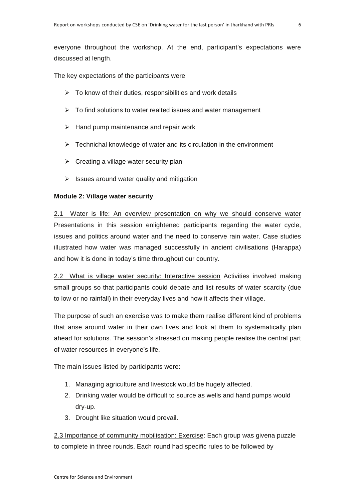The key expectations of the participants were

- $\triangleright$  To know of their duties, responsibilities and work details
- $\triangleright$  To find solutions to water realted issues and water management
- $\triangleright$  Hand pump maintenance and repair work
- $\triangleright$  Technichal knowledge of water and its circulation in the environment
- $\triangleright$  Creating a village water security plan
- $\triangleright$  Issues around water quality and mitigation

# **Module 2: Village water security**

2.1 Water is life: An overview presentation on why we should conserve water Presentations in this session enlightened participants regarding the water cycle, issues and politics around water and the need to conserve rain water. Case studies illustrated how water was managed successfully in ancient civilisations (Harappa) and how it is done in today's time throughout our country.

2.2 What is village water security: Interactive session Activities involved making small groups so that participants could debate and list results of water scarcity (due to low or no rainfall) in their everyday lives and how it affects their village.

The purpose of such an exercise was to make them realise different kind of problems that arise around water in their own lives and look at them to systematically plan ahead for solutions. The session's stressed on making people realise the central part of water resources in everyone's life.

The main issues listed by participants were:

- 1. Managing agriculture and livestock would be hugely affected.
- 2. Drinking water would be difficult to source as wells and hand pumps would dry-up.
- 3. Drought like situation would prevail.

2.3 Importance of community mobilisation: Exercise: Each group was givena puzzle to complete in three rounds. Each round had specific rules to be followed by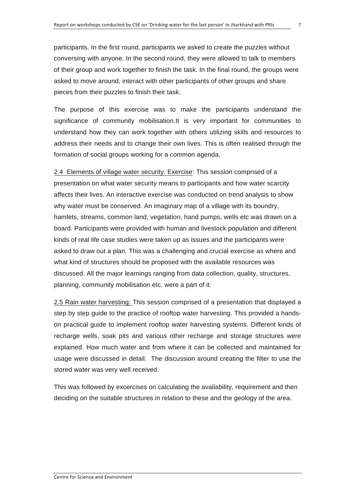participants. In the first round, participants we asked to create the puzzles without conversing with anyone. In the second round, they were allowed to talk to members of their group and work together to finish the task. In the final round, the groups were asked to move around, interact with other participants of other groups and share pieces from their puzzles to finish their task.

The purpose of this exercise was to make the participants understand the significance of community mobilisation.It is very important for communities to understand how they can work together with others utilizing skills and resources to address their needs and to change their own lives. This is often realised through the formation of social groups working for a common agenda.

2.4 Elements of village water security: Exercise: This session comprised of a presentation on what water security means to participants and how water scarcity affects their lives. An interactive exercise was conducted on trend analysis to show why water must be conserved. An imaginary map of a village with its boundry, hamlets, streams, common land, vegetation, hand pumps, wells etc was drawn on a board. Participants were provided with human and livestock population and different kinds of real life case studies were taken up as issues and the participants were asked to draw out a plan. This was a challenging and crucial exercise as where and what kind of structures should be proposed with the available resources was discussed. All the major learnings ranging from data collection, quality, structures, planning, community mobilisation etc. were a part of it.

2.5 Rain water harvesting: This session comprised of a presentation that displayed a step by step guide to the practice of rooftop water harvesting. This provided a handson practical guide to implement rooftop water harvesting systems. Different kinds of recharge wells, soak pits and various other recharge and storage structures were explained. How much water and from where it can be collected and maintained for usage were discussed in detail. The discussion around creating the filter to use the stored water was very well received.

This was followed by excercises on calculating the availability, requirement and then deciding on the suitable structures in relation to these and the geology of the area.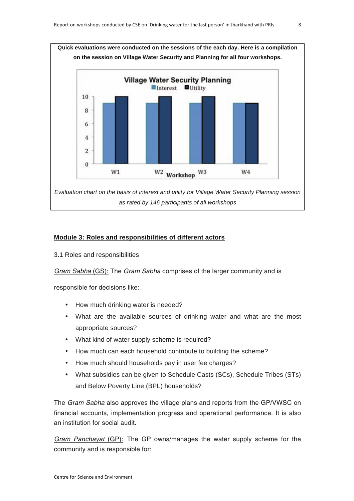

#### **Module 3: Roles and responsibilities of different actors**

#### 3.1 Roles and responsibilities

Gram Sabha (GS): The Gram Sabha comprises of the larger community and is

responsible for decisions like:

- How much drinking water is needed?
- What are the available sources of drinking water and what are the most appropriate sources?
- What kind of water supply scheme is required?
- How much can each household contribute to building the scheme?
- How much should households pay in user fee charges?
- What subsidies can be given to Schedule Casts (SCs), Schedule Tribes (STs) and Below Poverty Line (BPL) households?

The Gram Sabha also approves the village plans and reports from the GP/VWSC on financial accounts, implementation progress and operational performance. It is also an institution for social audit.

Gram Panchayat (GP): The GP owns/manages the water supply scheme for the community and is responsible for: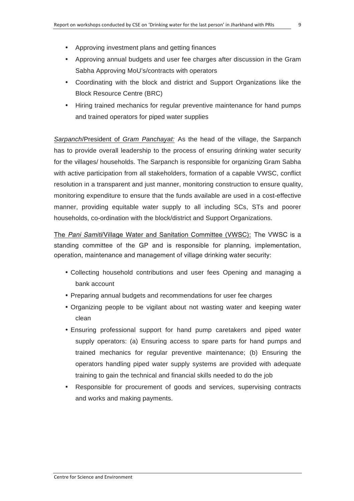- Approving investment plans and getting finances
- Approving annual budgets and user fee charges after discussion in the Gram Sabha Approving MoU's/contracts with operators
- Coordinating with the block and district and Support Organizations like the Block Resource Centre (BRC)
- Hiring trained mechanics for regular preventive maintenance for hand pumps and trained operators for piped water supplies

*Sarpanch*/President of *Gram Panchayat:* As the head of the village, the Sarpanch has to provide overall leadership to the process of ensuring drinking water security for the villages/ households. The Sarpanch is responsible for organizing Gram Sabha with active participation from all stakeholders, formation of a capable VWSC, conflict resolution in a transparent and just manner, monitoring construction to ensure quality, monitoring expenditure to ensure that the funds available are used in a cost-effective manner, providing equitable water supply to all including SCs, STs and poorer households, co-ordination with the block/district and Support Organizations.

The Pani Samiti/Village Water and Sanitation Committee (VWSC): The VWSC is a standing committee of the GP and is responsible for planning, implementation, operation, maintenance and management of village drinking water security:

- Collecting household contributions and user fees Opening and managing a bank account
- Preparing annual budgets and recommendations for user fee charges
- Organizing people to be vigilant about not wasting water and keeping water clean
- Ensuring professional support for hand pump caretakers and piped water supply operators: (a) Ensuring access to spare parts for hand pumps and trained mechanics for regular preventive maintenance; (b) Ensuring the operators handling piped water supply systems are provided with adequate training to gain the technical and financial skills needed to do the job
- Responsible for procurement of goods and services, supervising contracts and works and making payments.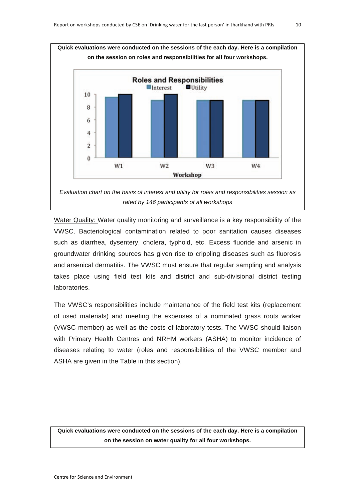

Water Quality: Water quality monitoring and surveillance is a key responsibility of the VWSC. Bacteriological contamination related to poor sanitation causes diseases such as diarrhea, dysentery, cholera, typhoid, etc. Excess fluoride and arsenic in groundwater drinking sources has given rise to crippling diseases such as fluorosis and arsenical dermatitis. The VWSC must ensure that regular sampling and analysis takes place using field test kits and district and sub-divisional district testing laboratories.

The VWSC's responsibilities include maintenance of the field test kits (replacement of used materials) and meeting the expenses of a nominated grass roots worker (VWSC member) as well as the costs of laboratory tests. The VWSC should liaison with Primary Health Centres and NRHM workers (ASHA) to monitor incidence of diseases relating to water (roles and responsibilities of the VWSC member and ASHA are given in the Table in this section).

**Quick evaluations were conducted on the sessions of the each day. Here is a compilation on the session on water quality for all four workshops.**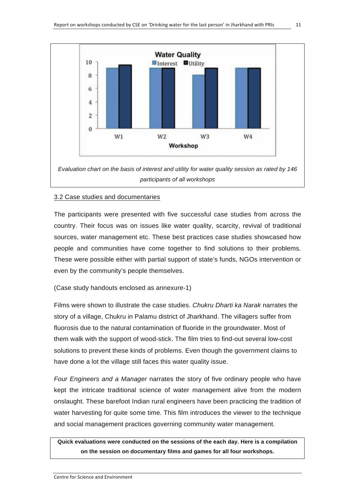

#### 3.2 Case studies and documentaries

The participants were presented with five successful case studies from across the country. Their focus was on issues like water quality, scarcity, revival of traditional sources, water management etc. These best practices case studies showcased how people and communities have come together to find solutions to their problems. These were possible either with partial support of state's funds, NGOs intervention or even by the community's people themselves.

(Case study handouts enclosed as annexure-1)

Films were shown to illustrate the case studies. *Chukru Dharti ka Narak* narrates the story of a village, Chukru in Palamu district of Jharkhand. The villagers suffer from fluorosis due to the natural contamination of fluoride in the groundwater. Most of them walk with the support of wood-stick. The film tries to find-out several low-cost solutions to prevent these kinds of problems. Even though the government claims to have done a lot the village still faces this water quality issue.

*Four Engineers and a Manager* narrates the story of five ordinary people who have kept the intricate traditional science of water management alive from the modern onslaught. These barefoot Indian rural engineers have been practicing the tradition of water harvesting for quite some time. This film introduces the viewer to the technique and social management practices governing community water management.

**Quick evaluations were conducted on the sessions of the each day. Here is a compilation on the session on documentary films and games for all four workshops.**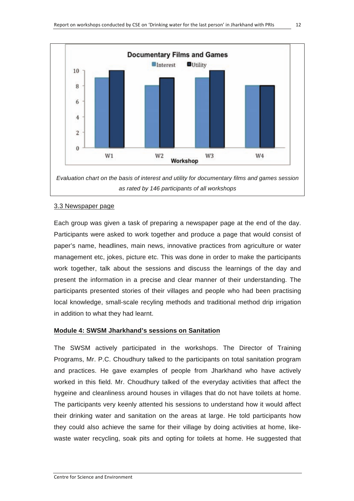

*as rated by 146 participants of all workshops* 

#### 3.3 Newspaper page

Each group was given a task of preparing a newspaper page at the end of the day. Participants were asked to work together and produce a page that would consist of paper's name, headlines, main news, innovative practices from agriculture or water management etc, jokes, picture etc. This was done in order to make the participants work together, talk about the sessions and discuss the learnings of the day and present the information in a precise and clear manner of their understanding. The participants presented stories of their villages and people who had been practising local knowledge, small-scale recyling methods and traditional method drip irrigation in addition to what they had learnt.

# **Module 4: SWSM Jharkhand's sessions on Sanitation**

The SWSM actively participated in the workshops. The Director of Training Programs, Mr. P.C. Choudhury talked to the participants on total sanitation program and practices. He gave examples of people from Jharkhand who have actively worked in this field. Mr. Choudhury talked of the everyday activities that affect the hygeine and cleanliness around houses in villages that do not have toilets at home. The participants very keenly attented his sessions to understand how it would affect their drinking water and sanitation on the areas at large. He told participants how they could also achieve the same for their village by doing activities at home, likewaste water recycling, soak pits and opting for toilets at home. He suggested that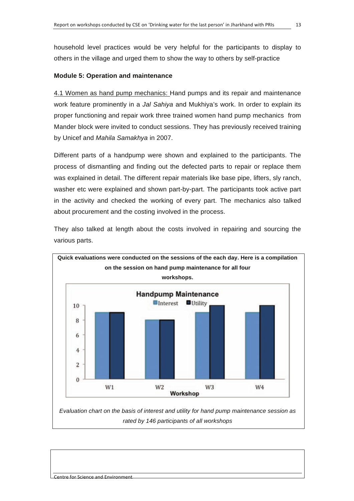household level practices would be very helpful for the participants to display to others in the village and urged them to show the way to others by self-practice

#### **Module 5: Operation and maintenance**

4.1 Women as hand pump mechanics: Hand pumps and its repair and maintenance work feature prominently in a *Jal Sahiya* and Mukhiya's work. In order to explain its proper functioning and repair work three trained women hand pump mechanics from Mander block were invited to conduct sessions. They has previously received training by Unicef and *Mahila Samakhya* in 2007.

Different parts of a handpump were shown and explained to the participants. The process of dismantling and finding out the defected parts to repair or replace them was explained in detail. The different repair materials like base pipe, lifters, sly ranch, washer etc were explained and shown part-by-part. The participants took active part in the activity and checked the working of every part. The mechanics also talked about procurement and the costing involved in the process.

They also talked at length about the costs involved in repairing and sourcing the various parts.



*rated by 146 participants of all workshops*

Centre for Science and Environment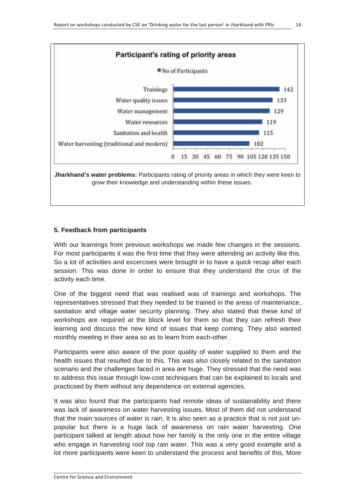

# **5. Feedback from participants**

With our learnings from previous workshops we made few changes in the sessions. For most participants it was the first time that they were attending an activity like this. So a lot of activities and excercises were brought in to have a quick recap after each session. This was done in order to ensure that they understand the crux of the activity each time.

One of the biggest need that was realised was of trainings and workshops. The representatives stressed that they needed to be trained in the areas of maintenance, sanitation and village water security planning. They also stated that these kind of workshops are required at the block level for them so that they can refresh their learning and discuss the new kind of issues that keep coming. They also wanted monthly meeting in their area so as to learn from each-other.

Participants were also aware of the poor quality of water supplied to them and the health issues that resulted due to this. This was also closely related to the sanitation scenario and the challenges faced in area are huge. They stressed that the need was to address this issue through low-cost techniques that can be explained to locals and practicsed by them without any dependence on external agencies.

It was also found that the participants had remote ideas of sustainability and there was lack of awareness on water harvesting issues. Most of them did not understand that the main sources of water is rain. It is also seen as a practice that is not just unpopular but there is a huge lack of awareness on rain water harvesting. One participant talked at length about how her family is the only one in the entire village who engage in harvesting roof top rain water. This was a very good example and a lot more participants were keen to understand the process and benefits of this, More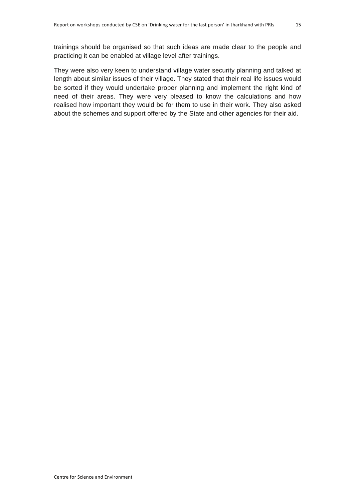They were also very keen to understand village water security planning and talked at length about similar issues of their village. They stated that their real life issues would be sorted if they would undertake proper planning and implement the right kind of need of their areas. They were very pleased to know the calculations and how realised how important they would be for them to use in their work. They also asked about the schemes and support offered by the State and other agencies for their aid.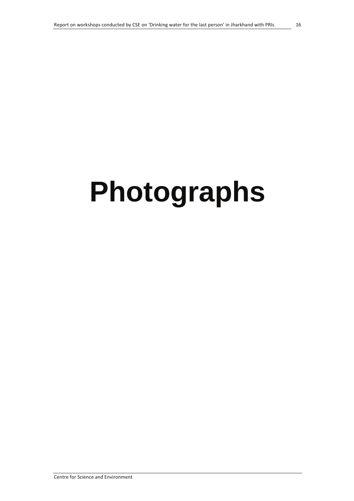# Photographs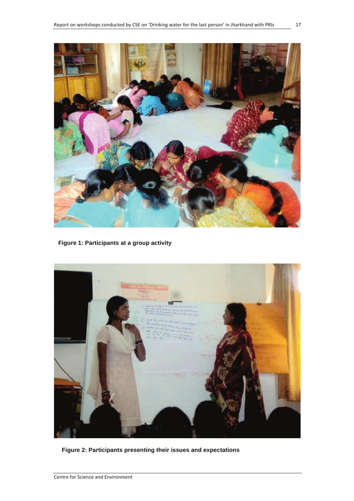

**Figure 1: Participants at a group activity** 



**Figure 2: Participants presenting their issues and expectations**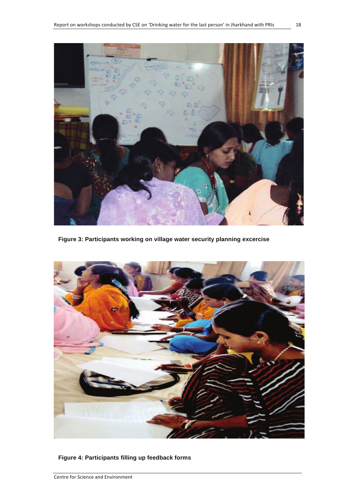

**Figure 3: Participants working on village water security planning excercise**



**Figure 4: Participants filling up feedback forms**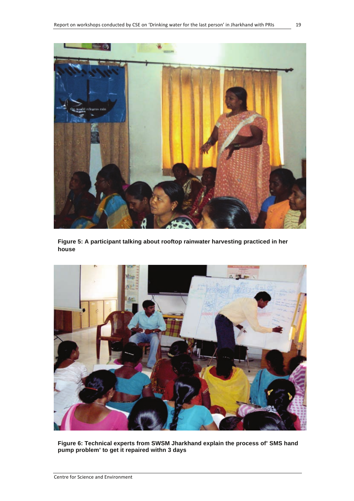

**Figure 5: A participant talking about rooftop rainwater harvesting practiced in her house**



**Figure 6: Technical experts from SWSM Jharkhand explain the process of' SMS hand pump problem' to get it repaired withn 3 days**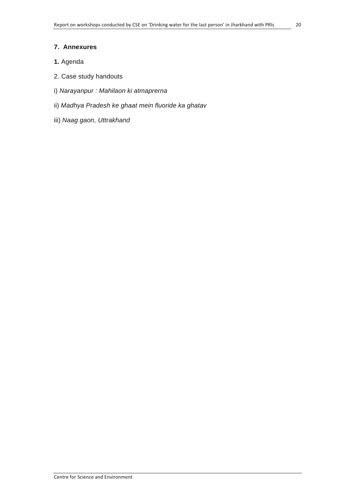- 1. Agenda
- 2. Case study handouts
- i) Narayanpur : Mahilaon ki atmaprerna
- ii) Madhya Pradesh ke ghaat mein fluoride ka ghatav
- iii) Naag gaon, Uttrakhand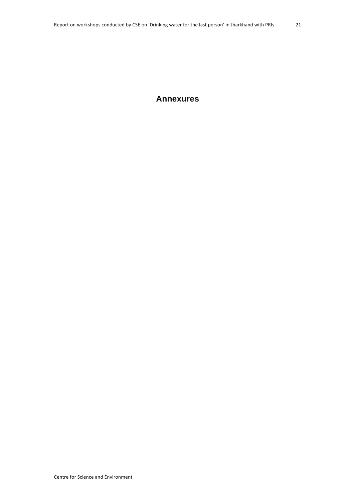# **Annexures**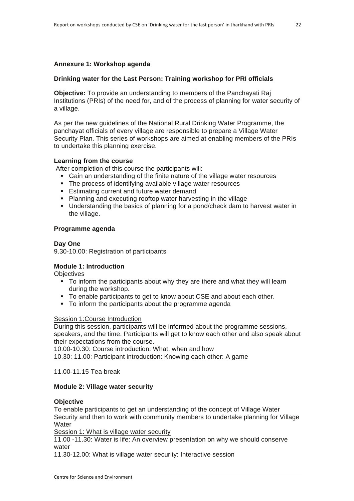# **Drinking water for the Last Person: Training workshop for PRI officials**

**Objective:** To provide an understanding to members of the Panchayati Raj Institutions (PRIs) of the need for, and of the process of planning for water security of a village.

As per the new guidelines of the National Rural Drinking Water Programme, the panchayat officials of every village are responsible to prepare a Village Water Security Plan. This series of workshops are aimed at enabling members of the PRIs to undertake this planning exercise.

#### **Learning from the course**

After completion of this course the participants will:

- Gain an understanding of the finite nature of the village water resources
- The process of identifying available village water resources
- **Estimating current and future water demand**
- **Planning and executing rooftop water harvesting in the village**
- Understanding the basics of planning for a pond/check dam to harvest water in the village.

#### **Programme agenda**

#### **Day One**

9.30-10.00: Registration of participants

#### **Module 1: Introduction**

**Objectives** 

- To inform the participants about why they are there and what they will learn during the workshop.
- To enable participants to get to know about CSE and about each other.
- To inform the participants about the programme agenda

#### Session 1:Course Introduction

During this session, participants will be informed about the programme sessions, speakers, and the time. Participants will get to know each other and also speak about their expectations from the course.

10.00-10.30: Course introduction: What, when and how

10.30: 11.00: Participant introduction: Knowing each other: A game

11.00-11.15 Tea break

#### **Module 2: Village water security**

#### **Objective**

To enable participants to get an understanding of the concept of Village Water Security and then to work with community members to undertake planning for Village **Water** 

Session 1: What is village water security

11.00 -11.30: Water is life: An overview presentation on why we should conserve water

11.30-12.00: What is village water security: Interactive session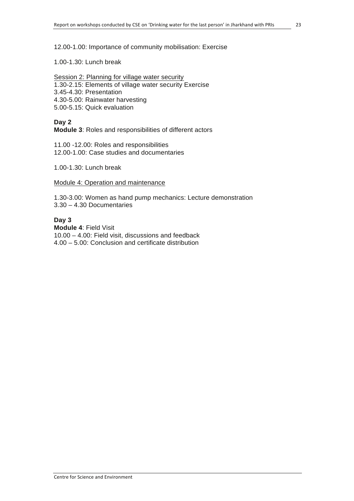1.00-1.30: Lunch break

Session 2: Planning for village water security

- 1.30-2.15: Elements of village water security Exercise
- 3.45-4.30: Presentation
- 4.30-5.00: Rainwater harvesting
- 5.00-5.15: Quick evaluation

#### **Day 2**

**Module 3**: Roles and responsibilities of different actors

11.00 -12.00: Roles and responsibilities 12.00-1.00: Case studies and documentaries

1.00-1.30: Lunch break

Module 4: Operation and maintenance

1.30-3.00: Women as hand pump mechanics: Lecture demonstration 3.30 – 4.30 Documentaries

#### **Day 3**

**Module 4**: Field Visit 10.00 – 4.00: Field visit, discussions and feedback 4.00 – 5.00: Conclusion and certificate distribution